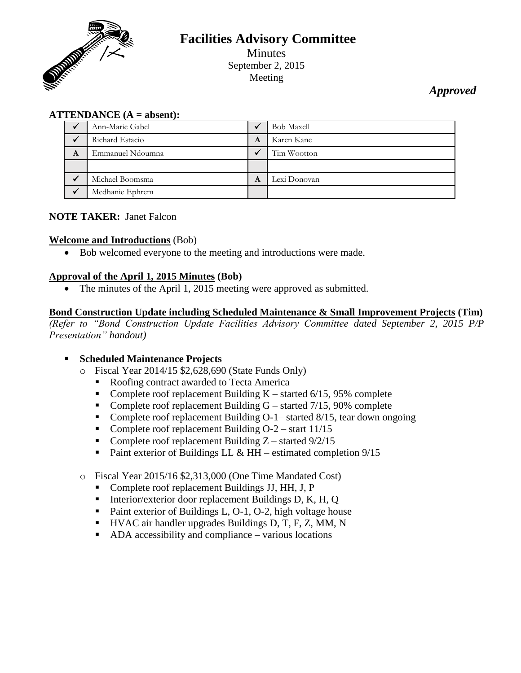

# **Facilities Advisory Committee** Minutes September 2, 2015 Meeting

*Approved*

### **ATTENDANCE (A = absent):**

|   | Ann-Marie Gabel  |   | <b>Bob Maxell</b> |
|---|------------------|---|-------------------|
|   | Richard Estacio  | A | Karen Kane        |
| A | Emmanuel Ndoumna |   | Tim Wootton       |
|   |                  |   |                   |
|   | Michael Boomsma  | A | Lexi Donovan      |
|   | Medhanie Ephrem  |   |                   |

#### **NOTE TAKER:** Janet Falcon

#### **Welcome and Introductions** (Bob)

Bob welcomed everyone to the meeting and introductions were made.

### **Approval of the April 1, 2015 Minutes (Bob)**

• The minutes of the April 1, 2015 meeting were approved as submitted.

#### **Bond Construction Update including Scheduled Maintenance & Small Improvement Projects (Tim)**

*(Refer to "Bond Construction Update Facilities Advisory Committee dated September 2, 2015 P/P Presentation" handout)*

#### **Scheduled Maintenance Projects**

- o Fiscal Year 2014/15 \$2,628,690 (State Funds Only)
	- Roofing contract awarded to Tecta America
	- Complete roof replacement Building  $K$  started 6/15, 95% complete
	- Complete roof replacement Building  $G$  started 7/15, 90% complete
	- Complete roof replacement Building  $O-1-$  started  $8/15$ , tear down ongoing
	- Complete roof replacement Building  $O-2$  start  $11/15$
	- Complete roof replacement Building  $Z$  started  $9/2/15$
	- Paint exterior of Buildings LL  $&$  HH estimated completion  $9/15$
- o Fiscal Year 2015/16 \$2,313,000 (One Time Mandated Cost)
	- Complete roof replacement Buildings JJ, HH, J, P
	- Interior/exterior door replacement Buildings D, K, H, Q
	- Paint exterior of Buildings L, O-1, O-2, high voltage house
	- HVAC air handler upgrades Buildings D, T, F, Z, MM, N
	- ADA accessibility and compliance various locations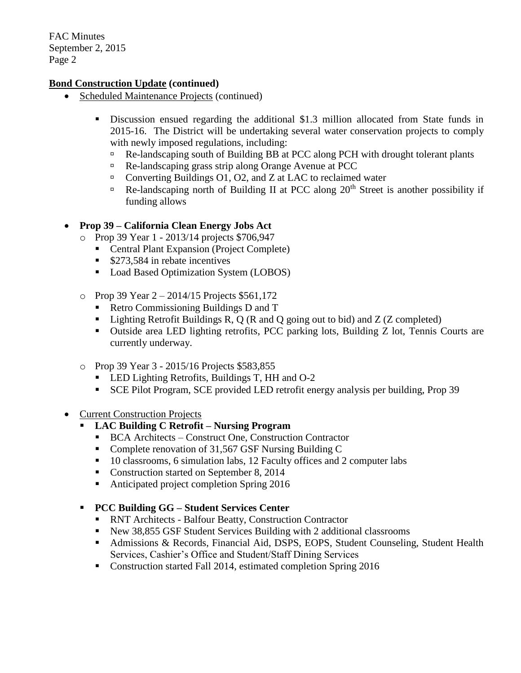### **Bond Construction Update (continued)**

- Scheduled Maintenance Projects (continued)
	- Discussion ensued regarding the additional \$1.3 million allocated from State funds in 2015-16. The District will be undertaking several water conservation projects to comply with newly imposed regulations, including:
		- Re-landscaping south of Building BB at PCC along PCH with drought tolerant plants
		- Re-landscaping grass strip along Orange Avenue at PCC
		- □ Converting Buildings O1, O2, and Z at LAC to reclaimed water
		- $\Box$  Re-landscaping north of Building II at PCC along 20<sup>th</sup> Street is another possibility if funding allows

# **Prop 39 – California Clean Energy Jobs Act**

- o Prop 39 Year 1 2013/14 projects \$706,947
	- Central Plant Expansion (Project Complete)
		- **S273,584** in rebate incentives
		- **Load Based Optimization System (LOBOS)**
- o Prop 39 Year 2 2014/15 Projects \$561,172
	- Retro Commissioning Buildings D and T
	- Eighting Retrofit Buildings R, Q (R and Q going out to bid) and  $Z$  (Z completed)
	- Outside area LED lighting retrofits, PCC parking lots, Building Z lot, Tennis Courts are currently underway.
- o Prop 39 Year 3 2015/16 Projects \$583,855
	- **LED Lighting Retrofits, Buildings T, HH and O-2**
	- SCE Pilot Program, SCE provided LED retrofit energy analysis per building, Prop 39

# • Current Construction Projects

- **LAC Building C Retrofit – Nursing Program**
	- BCA Architects Construct One, Construction Contractor
	- Complete renovation of 31,567 GSF Nursing Building C
	- <sup>10</sup> classrooms, 6 simulation labs, 12 Faculty offices and 2 computer labs
	- Construction started on September 8, 2014
	- Anticipated project completion Spring 2016

# **PCC Building GG – Student Services Center**

- RNT Architects Balfour Beatty, Construction Contractor
- New 38,855 GSF Student Services Building with 2 additional classrooms
- Admissions & Records, Financial Aid, DSPS, EOPS, Student Counseling, Student Health Services, Cashier's Office and Student/Staff Dining Services
- Construction started Fall 2014, estimated completion Spring 2016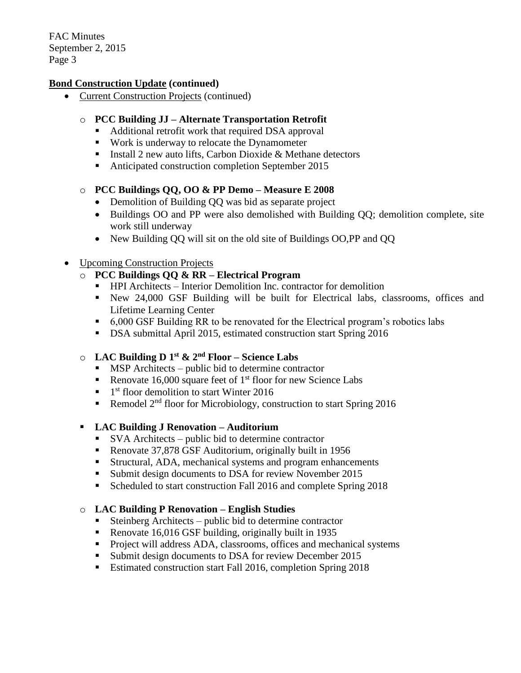### **Bond Construction Update (continued)**

Current Construction Projects (continued)

# o **PCC Building JJ – Alternate Transportation Retrofit**

- Additional retrofit work that required DSA approval
- Work is underway to relocate the Dynamometer
- Install 2 new auto lifts, Carbon Dioxide  $&$  Methane detectors
- Anticipated construction completion September 2015

### o **PCC Buildings QQ, OO & PP Demo – Measure E 2008**

- Demolition of Building OO was bid as separate project
- Buildings OO and PP were also demolished with Building QQ; demolition complete, site work still underway
- New Building QQ will sit on the old site of Buildings OO,PP and QQ

# • Upcoming Construction Projects

# o **PCC Buildings QQ & RR – Electrical Program**

- HPI Architects Interior Demolition Inc. contractor for demolition
- New 24,000 GSF Building will be built for Electrical labs, classrooms, offices and Lifetime Learning Center
- 6,000 GSF Building RR to be renovated for the Electrical program's robotics labs
- DSA submittal April 2015, estimated construction start Spring 2016

# o **LAC Building D 1st & 2nd Floor – Science Labs**

- **MSP** Architects public bid to determine contractor
- Renovate 16,000 square feet of  $1<sup>st</sup>$  floor for new Science Labs
- $\blacksquare$  1<sup>st</sup> floor demolition to start Winter 2016
- Remodel  $2<sup>nd</sup>$  floor for Microbiology, construction to start Spring 2016

# **LAC Building J Renovation – Auditorium**

- SVA Architects public bid to determine contractor
- Renovate 37,878 GSF Auditorium, originally built in 1956
- Structural, ADA, mechanical systems and program enhancements
- Submit design documents to DSA for review November 2015
- Scheduled to start construction Fall 2016 and complete Spring 2018

# o **LAC Building P Renovation – English Studies**

- Steinberg Architects public bid to determine contractor
- Renovate 16,016 GSF building, originally built in 1935
- **Project will address ADA, classrooms, offices and mechanical systems**
- **Submit design documents to DSA for review December 2015**
- Estimated construction start Fall 2016, completion Spring 2018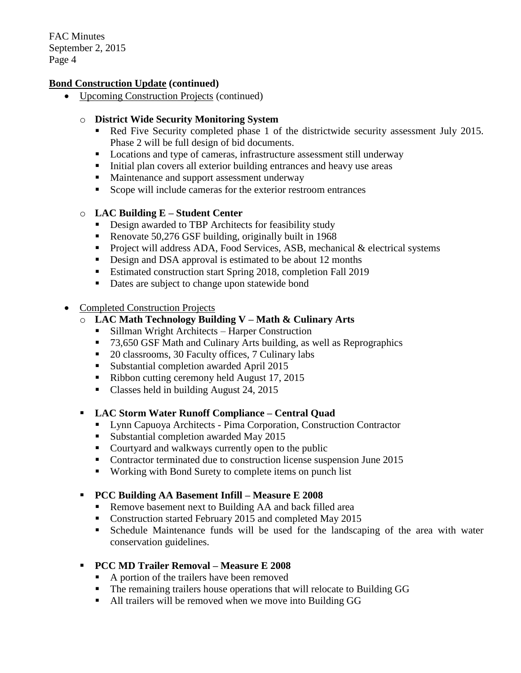### **Bond Construction Update (continued)**

Upcoming Construction Projects (continued)

### o **District Wide Security Monitoring System**

- Red Five Security completed phase 1 of the districtwide security assessment July 2015. Phase 2 will be full design of bid documents.
- Locations and type of cameras, infrastructure assessment still underway
- Initial plan covers all exterior building entrances and heavy use areas
- **Maintenance and support assessment underway**
- Scope will include cameras for the exterior restroom entrances

### o **LAC Building E – Student Center**

- **Design awarded to TBP Architects for feasibility study**
- Renovate 50,276 GSF building, originally built in 1968
- Project will address ADA, Food Services, ASB, mechanical  $&$  electrical systems
- Design and DSA approval is estimated to be about 12 months
- **Estimated construction start Spring 2018, completion Fall 2019**
- Dates are subject to change upon statewide bond

#### • Completed Construction Projects

- o **LAC Math Technology Building V – Math & Culinary Arts**
	- Sillman Wright Architects Harper Construction
	- 73,650 GSF Math and Culinary Arts building, as well as Reprographics
	- 20 classrooms, 30 Faculty offices, 7 Culinary labs
	- **Substantial completion awarded April 2015**
	- Ribbon cutting ceremony held August 17, 2015
	- Classes held in building August 24, 2015

#### **LAC Storm Water Runoff Compliance – Central Quad**

- **Lynn Capuoya Architects Pima Corporation, Construction Contractor**
- **Substantial completion awarded May 2015**
- Courtyard and walkways currently open to the public
- Contractor terminated due to construction license suspension June 2015
- Working with Bond Surety to complete items on punch list

# **PCC Building AA Basement Infill – Measure E 2008**

- Remove basement next to Building AA and back filled area
- Construction started February 2015 and completed May 2015
- Schedule Maintenance funds will be used for the landscaping of the area with water conservation guidelines.
- **PCC MD Trailer Removal – Measure E 2008**
	- A portion of the trailers have been removed
	- The remaining trailers house operations that will relocate to Building GG
	- All trailers will be removed when we move into Building GG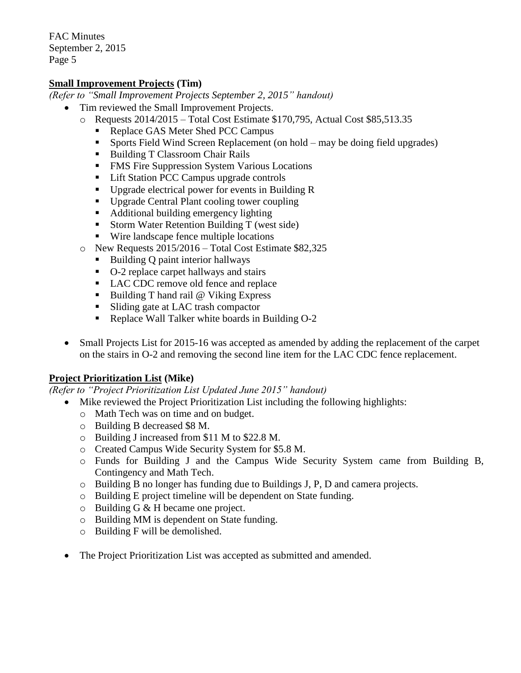### **Small Improvement Projects (Tim)**

*(Refer to "Small Improvement Projects September 2, 2015" handout)*

- Tim reviewed the Small Improvement Projects.
	- o Requests 2014/2015 Total Cost Estimate \$170,795, Actual Cost \$85,513.35
		- Replace GAS Meter Shed PCC Campus
		- Sports Field Wind Screen Replacement (on hold may be doing field upgrades)
		- Building T Classroom Chair Rails
		- **FMS** Fire Suppression System Various Locations
		- Lift Station PCC Campus upgrade controls
		- Upgrade electrical power for events in Building R
		- Upgrade Central Plant cooling tower coupling
		- Additional building emergency lighting
		- **Storm Water Retention Building T** (west side)
		- Wire landscape fence multiple locations
	- o New Requests 2015/2016 Total Cost Estimate \$82,325
		- $\blacksquare$  Building Q paint interior hallways
		- O-2 replace carpet hallways and stairs
		- LAC CDC remove old fence and replace
		- Building T hand rail  $@$  Viking Express
		- In Sliding gate at LAC trash compactor
		- Replace Wall Talker white boards in Building O-2
- Small Projects List for 2015-16 was accepted as amended by adding the replacement of the carpet on the stairs in O-2 and removing the second line item for the LAC CDC fence replacement.

#### **Project Prioritization List (Mike)**

*(Refer to "Project Prioritization List Updated June 2015" handout)*

- Mike reviewed the Project Prioritization List including the following highlights:
	- o Math Tech was on time and on budget.
	- o Building B decreased \$8 M.
	- o Building J increased from \$11 M to \$22.8 M.
	- o Created Campus Wide Security System for \$5.8 M.
	- o Funds for Building J and the Campus Wide Security System came from Building B, Contingency and Math Tech.
	- $\circ$  Building B no longer has funding due to Buildings J, P, D and camera projects.
	- o Building E project timeline will be dependent on State funding.
	- o Building G & H became one project.
	- o Building MM is dependent on State funding.
	- o Building F will be demolished.
	- The Project Prioritization List was accepted as submitted and amended.